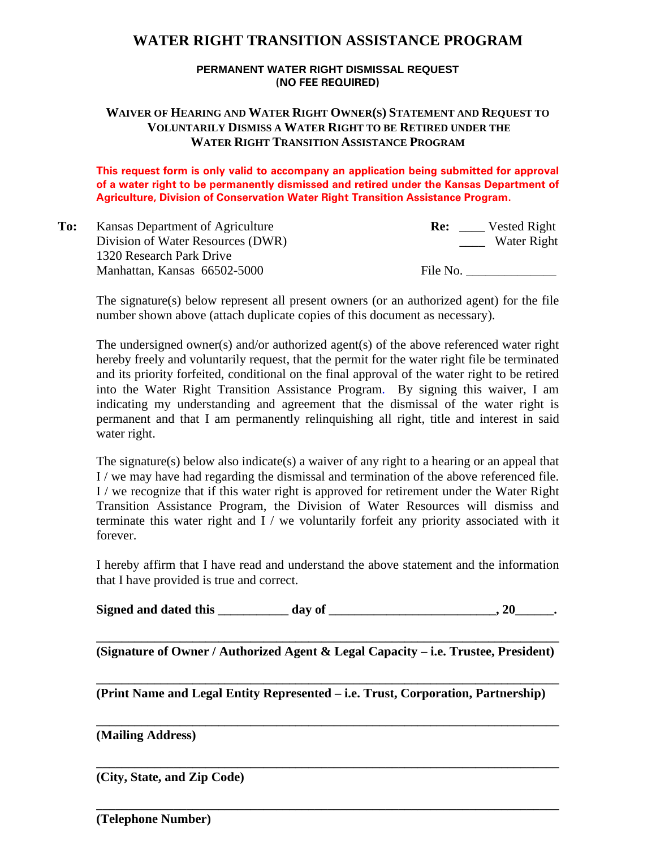# **WATER RIGHT TRANSITION ASSISTANCE PROGRAM**

#### **PERMANENT WATER RIGHT DISMISSAL REQUEST (NO FEE REQUIRED)**

### **WAIVER OF HEARING AND WATER RIGHT OWNER(S) STATEMENT AND REQUEST TO VOLUNTARILY DISMISS A WATER RIGHT TO BE RETIRED UNDER THE WATER RIGHT TRANSITION ASSISTANCE PROGRAM**

**This request form is only valid to accompany an application being submitted for approval of a water right to be permanently dismissed and retired under the Kansas Department of Agriculture, Division of Conservation Water Right Transition Assistance Program.**

| To: | Kansas Department of Agriculture  | Vested Right<br>Re: |
|-----|-----------------------------------|---------------------|
|     | Division of Water Resources (DWR) | Water Right         |
|     | 1320 Research Park Drive          |                     |
|     | Manhattan, Kansas 66502-5000      | File No.            |

The signature(s) below represent all present owners (or an authorized agent) for the file number shown above (attach duplicate copies of this document as necessary).

The undersigned owner(s) and/or authorized agent(s) of the above referenced water right hereby freely and voluntarily request, that the permit for the water right file be terminated and its priority forfeited, conditional on the final approval of the water right to be retired into the Water Right Transition Assistance Program. By signing this waiver, I am indicating my understanding and agreement that the dismissal of the water right is permanent and that I am permanently relinquishing all right, title and interest in said water right.

The signature(s) below also indicate(s) a waiver of any right to a hearing or an appeal that I / we may have had regarding the dismissal and termination of the above referenced file. I / we recognize that if this water right is approved for retirement under the Water Right Transition Assistance Program, the Division of Water Resources will dismiss and terminate this water right and I / we voluntarily forfeit any priority associated with it forever.

I hereby affirm that I have read and understand the above statement and the information that I have provided is true and correct.

Signed and dated this day of the same of the same of the same of the same of the same of the same of the same of the same of the same of the same of the same of the same of the same of the same of the same of the same of t

**\_\_\_\_\_\_\_\_\_\_\_\_\_\_\_\_\_\_\_\_\_\_\_\_\_\_\_\_\_\_\_\_\_\_\_\_\_\_\_\_\_\_\_\_\_\_\_\_\_\_\_\_\_\_\_\_\_\_\_\_\_\_\_\_\_\_\_\_\_\_\_\_ (Signature of Owner / Authorized Agent & Legal Capacity – i.e. Trustee, President)** 

**\_\_\_\_\_\_\_\_\_\_\_\_\_\_\_\_\_\_\_\_\_\_\_\_\_\_\_\_\_\_\_\_\_\_\_\_\_\_\_\_\_\_\_\_\_\_\_\_\_\_\_\_\_\_\_\_\_\_\_\_\_\_\_\_\_\_\_\_\_\_\_\_** 

**\_\_\_\_\_\_\_\_\_\_\_\_\_\_\_\_\_\_\_\_\_\_\_\_\_\_\_\_\_\_\_\_\_\_\_\_\_\_\_\_\_\_\_\_\_\_\_\_\_\_\_\_\_\_\_\_\_\_\_\_\_\_\_\_\_\_\_\_\_\_\_\_** 

**\_\_\_\_\_\_\_\_\_\_\_\_\_\_\_\_\_\_\_\_\_\_\_\_\_\_\_\_\_\_\_\_\_\_\_\_\_\_\_\_\_\_\_\_\_\_\_\_\_\_\_\_\_\_\_\_\_\_\_\_\_\_\_\_\_\_\_\_\_\_\_\_** 

**\_\_\_\_\_\_\_\_\_\_\_\_\_\_\_\_\_\_\_\_\_\_\_\_\_\_\_\_\_\_\_\_\_\_\_\_\_\_\_\_\_\_\_\_\_\_\_\_\_\_\_\_\_\_\_\_\_\_\_\_\_\_\_\_\_\_\_\_\_\_\_\_** 

**(Print Name and Legal Entity Represented – i.e. Trust, Corporation, Partnership)** 

**(Mailing Address)** 

**(City, State, and Zip Code)** 

**(Telephone Number)**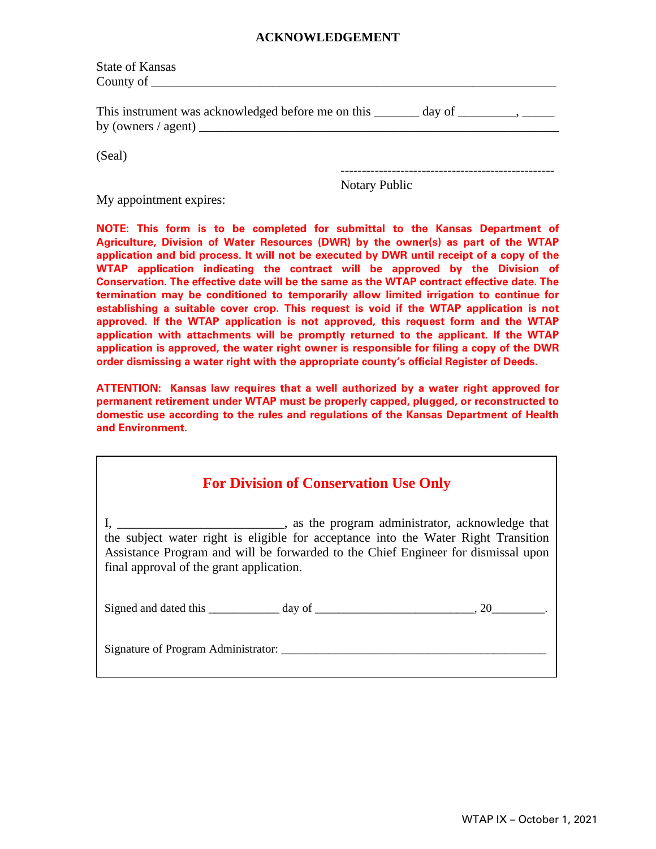#### **ACKNOWLEDGEMENT**

| <b>State of Kansas</b>                                                            |
|-----------------------------------------------------------------------------------|
|                                                                                   |
| This instrument was acknowledged before me on this _______ day of _______________ |
| (Seal)                                                                            |

Notary Public

My appointment expires:

**NOTE: This form is to be completed for submittal to the Kansas Department of Agriculture, Division of Water Resources (DWR) by the owner(s) as part of the WTAP application and bid process. It will not be executed by DWR until receipt of a copy of the WTAP application indicating the contract will be approved by the Division of Conservation. The effective date will be the same as the WTAP contract effective date. The termination may be conditioned to temporarily allow limited irrigation to continue for establishing a suitable cover crop. This request is void if the WTAP application is not approved. If the WTAP application is not approved, this request form and the WTAP application with attachments will be promptly returned to the applicant. If the WTAP application is approved, the water right owner is responsible for filing a copy of the DWR order dismissing a water right with the appropriate county's official Register of Deeds.** 

**ATTENTION: Kansas law requires that a well authorized by a water right approved for permanent retirement under WTAP must be properly capped, plugged, or reconstructed to domestic use according to the rules and regulations of the Kansas Department of Health and Environment.**

# **For Division of Conservation Use Only**

I, \_\_\_\_\_\_\_\_\_\_\_\_\_\_\_\_\_\_\_\_\_\_\_\_\_\_, as the program administrator, acknowledge that the subject water right is eligible for acceptance into the Water Right Transition Assistance Program and will be forwarded to the Chief Engineer for dismissal upon final approval of the grant application.

| Signed and dated this |  |  |
|-----------------------|--|--|
|                       |  |  |

Signature of Program Administrator: